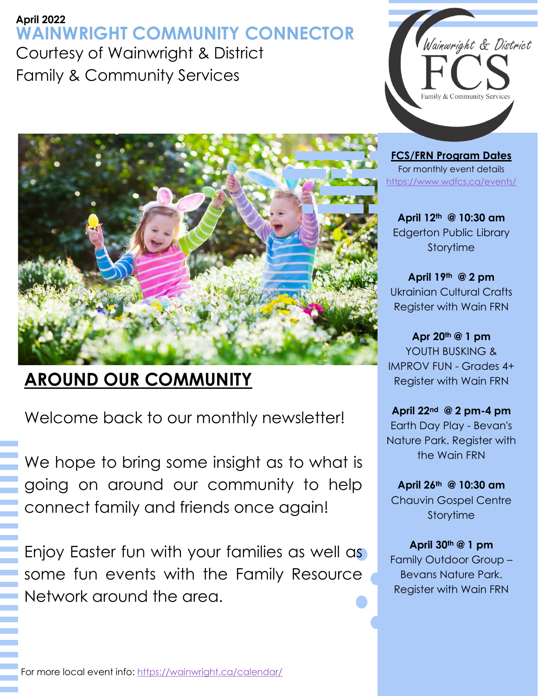## **April 2022 WAINWRIGHT COMMUNITY CONNECTOR** Courtesy of Wainwright & District Family & Community Services



**FCS/FRN Program Dates** For monthly event details <https://www.wdfcs.ca/events/>

**April 12th @ 10:30 am**  Edgerton Public Library Storytime

**April 19th @ 2 pm** Ukrainian Cultural Crafts Register with Wain FRN

**Apr 20th @ 1 pm** YOUTH BUSKING & IMPROV FUN - Grades 4+ Register with Wain FRN

**April 22nd @ 2 pm-4 pm** Earth Day Play - Bevan's Nature Park. Register with the Wain FRN

**April 26th @ 10:30 am** Chauvin Gospel Centre Storytime

**April 30th @ 1 pm** Family Outdoor Group – Bevans Nature Park. Register with Wain FRN

## **AROUND OUR COMMUNITY**

Welcome back to our monthly newsletter!

We hope to bring some insight as to what is going on around our community to help connect family and friends once again!

Enjoy Easter fun with your families as well as some fun events with the Family Resource Network around the area.